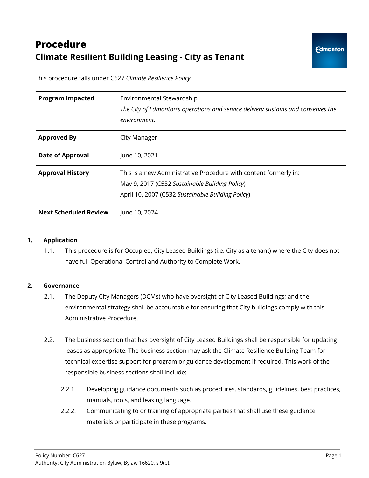# **Procedure Climate Resilient Building Leasing - City as Tenant**

This procedure falls under C627 *Climate Resilience Policy*.

| <b>Program Impacted</b>      | Environmental Stewardship<br>The City of Edmonton's operations and service delivery sustains and conserves the<br>environment.                                          |
|------------------------------|-------------------------------------------------------------------------------------------------------------------------------------------------------------------------|
| <b>Approved By</b>           | City Manager                                                                                                                                                            |
| <b>Date of Approval</b>      | June 10, 2021                                                                                                                                                           |
| <b>Approval History</b>      | This is a new Administrative Procedure with content formerly in:<br>May 9, 2017 (C532 Sustainable Building Policy)<br>April 10, 2007 (C532 Sustainable Building Policy) |
| <b>Next Scheduled Review</b> | June 10, 2024                                                                                                                                                           |

## **1. Application**

1.1. This procedure is for Occupied, City Leased Buildings (i.e. City as a tenant) where the City does not have full Operational Control and Authority to Complete Work.

## **2. Governance**

- 2.1. The Deputy City Managers (DCMs) who have oversight of City Leased Buildings; and the environmental strategy shall be accountable for ensuring that City buildings comply with this Administrative Procedure.
- 2.2. The business section that has oversight of City Leased Buildings shall be responsible for updating leases as appropriate. The business section may ask the Climate Resilience Building Team for technical expertise support for program or guidance development if required. This work of the responsible business sections shall include:
	- 2.2.1. Developing guidance documents such as procedures, standards, guidelines, best practices, manuals, tools, and leasing language.
	- 2.2.2. Communicating to or training of appropriate parties that shall use these guidance materials or participate in these programs.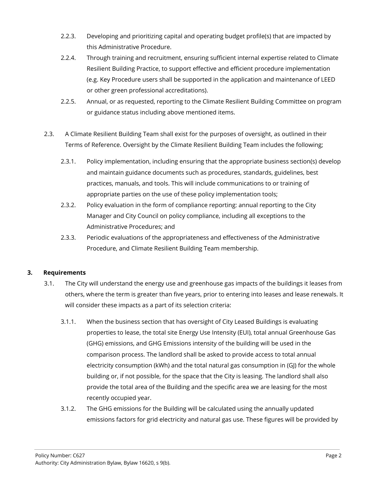- 2.2.3. Developing and prioritizing capital and operating budget profile(s) that are impacted by this Administrative Procedure.
- 2.2.4. Through training and recruitment, ensuring sufficient internal expertise related to Climate Resilient Building Practice, to support effective and efficient procedure implementation (e.g. Key Procedure users shall be supported in the application and maintenance of LEED or other green professional accreditations).
- 2.2.5. Annual, or as requested, reporting to the Climate Resilient Building Committee on program or guidance status including above mentioned items.
- 2.3. A Climate Resilient Building Team shall exist for the purposes of oversight, as outlined in their Terms of Reference. Oversight by the Climate Resilient Building Team includes the following;
	- 2.3.1. Policy implementation, including ensuring that the appropriate business section(s) develop and maintain guidance documents such as procedures, standards, guidelines, best practices, manuals, and tools. This will include communications to or training of appropriate parties on the use of these policy implementation tools;
	- 2.3.2. Policy evaluation in the form of compliance reporting: annual reporting to the City Manager and City Council on policy compliance, including all exceptions to the Administrative Procedures; and
	- 2.3.3. Periodic evaluations of the appropriateness and effectiveness of the Administrative Procedure, and Climate Resilient Building Team membership.

# **3. Requirements**

- 3.1. The City will understand the energy use and greenhouse gas impacts of the buildings it leases from others, where the term is greater than five years, prior to entering into leases and lease renewals. It will consider these impacts as a part of its selection criteria:
	- 3.1.1. When the business section that has oversight of City Leased Buildings is evaluating properties to lease, the total site Energy Use Intensity (EUI), total annual Greenhouse Gas (GHG) emissions, and GHG Emissions intensity of the building will be used in the comparison process. The landlord shall be asked to provide access to total annual electricity consumption (kWh) and the total natural gas consumption in (GJ) for the whole building or, if not possible, for the space that the City is leasing. The landlord shall also provide the total area of the Building and the specific area we are leasing for the most recently occupied year.
	- 3.1.2. The GHG emissions for the Building will be calculated using the annually updated emissions factors for grid electricity and natural gas use. These figures will be provided by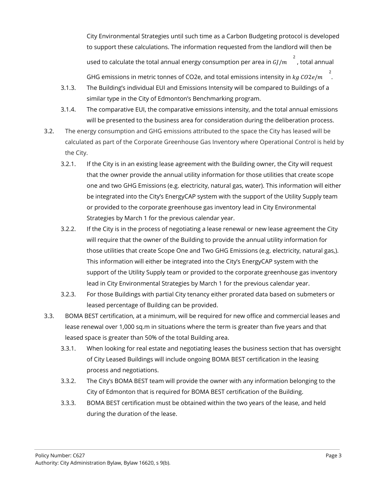City Environmental Strategies until such time as a Carbon Budgeting protocol is developed to support these calculations. The information requested from the landlord will then be used to calculate the total annual energy consumption per area in  $GI/m$ , total annual GHG emissions in metric tonnes of CO2e, and total emissions intensity in  $kg CO2e/m$ 2

- 3.1.3. The Building's individual EUI and Emissions Intensity will be compared to Buildings of a similar type in the City of Edmonton's Benchmarking program.
- 3.1.4. The comparative EUI, the comparative emissions intensity, and the total annual emissions will be presented to the business area for consideration during the deliberation process.
- 3.2. The energy consumption and GHG emissions attributed to the space the City has leased will be calculated as part of the Corporate Greenhouse Gas Inventory where Operational Control is held by the City.
	- 3.2.1. If the City is in an existing lease agreement with the Building owner, the City will request that the owner provide the annual utility information for those utilities that create scope one and two GHG Emissions (e.g. electricity, natural gas, water). This information will either be integrated into the City's EnergyCAP system with the support of the Utility Supply team or provided to the corporate greenhouse gas inventory lead in City Environmental Strategies by March 1 for the previous calendar year.
	- 3.2.2. If the City is in the process of negotiating a lease renewal or new lease agreement the City will require that the owner of the Building to provide the annual utility information for those utilities that create Scope One and Two GHG Emissions (e.g. electricity, natural gas,). This information will either be integrated into the City's EnergyCAP system with the support of the Utility Supply team or provided to the corporate greenhouse gas inventory lead in City Environmental Strategies by March 1 for the previous calendar year.
	- 3.2.3. For those Buildings with partial City tenancy either prorated data based on submeters or leased percentage of Building can be provided.
- 3.3. BOMA BEST certification, at a minimum, will be required for new office and commercial leases and lease renewal over 1,000 sq.m in situations where the term is greater than five years and that leased space is greater than 50% of the total Building area.
	- 3.3.1. When looking for real estate and negotiating leases the business section that has oversight of City Leased Buildings will include ongoing BOMA BEST certification in the leasing process and negotiations.
	- 3.3.2. The City's BOMA BEST team will provide the owner with any information belonging to the City of Edmonton that is required for BOMA BEST certification of the Building.
	- 3.3.3. BOMA BEST certification must be obtained within the two years of the lease, and held during the duration of the lease.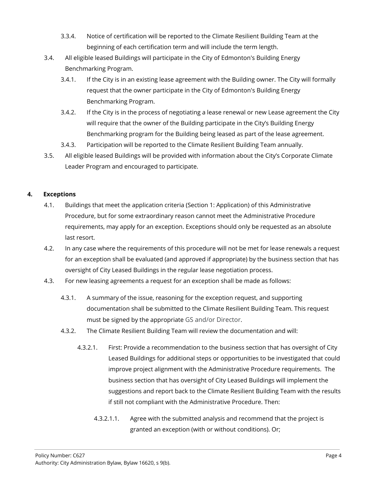- 3.3.4. Notice of certification will be reported to the Climate Resilient Building Team at the beginning of each certification term and will include the term length.
- 3.4. All eligible leased Buildings will participate in the City of Edmonton's Building Energy Benchmarking Program.
	- 3.4.1. If the City is in an existing lease agreement with the Building owner. The City will formally request that the owner participate in the City of Edmonton's Building Energy Benchmarking Program.
	- 3.4.2. If the City is in the process of negotiating a lease renewal or new Lease agreement the City will require that the owner of the Building participate in the City's Building Energy Benchmarking program for the Building being leased as part of the lease agreement.
	- 3.4.3. Participation will be reported to the Climate Resilient Building Team annually.
- 3.5. All eligible leased Buildings will be provided with information about the City's Corporate Climate Leader Program and encouraged to participate.

# **4. Exceptions**

- 4.1. Buildings that meet the application criteria (Section 1: Application) of this Administrative Procedure, but for some extraordinary reason cannot meet the Administrative Procedure requirements, may apply for an exception. Exceptions should only be requested as an absolute last resort.
- 4.2. In any case where the requirements of this procedure will not be met for lease renewals a request for an exception shall be evaluated (and approved if appropriate) by the business section that has oversight of City Leased Buildings in the regular lease negotiation process.
- 4.3. For new leasing agreements a request for an exception shall be made as follows:
	- 4.3.1. A summary of the issue, reasoning for the exception request, and supporting documentation shall be submitted to the Climate Resilient Building Team. This request must be signed by the appropriate GS and/or Director.
	- 4.3.2. The Climate Resilient Building Team will review the documentation and will:
		- 4.3.2.1. First: Provide a recommendation to the business section that has oversight of City Leased Buildings for additional steps or opportunities to be investigated that could improve project alignment with the Administrative Procedure requirements. The business section that has oversight of City Leased Buildings will implement the suggestions and report back to the Climate Resilient Building Team with the results if still not compliant with the Administrative Procedure. Then:
			- 4.3.2.1.1. Agree with the submitted analysis and recommend that the project is granted an exception (with or without conditions). Or;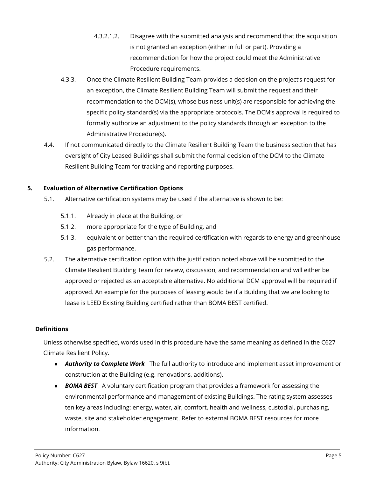- 4.3.2.1.2. Disagree with the submitted analysis and recommend that the acquisition is not granted an exception (either in full or part). Providing a recommendation for how the project could meet the Administrative Procedure requirements.
- 4.3.3. Once the Climate Resilient Building Team provides a decision on the project's request for an exception, the Climate Resilient Building Team will submit the request and their recommendation to the DCM(s), whose business unit(s) are responsible for achieving the specific policy standard(s) via the appropriate protocols. The DCM's approval is required to formally authorize an adjustment to the policy standards through an exception to the Administrative Procedure(s).
- 4.4. If not communicated directly to the Climate Resilient Building Team the business section that has oversight of City Leased Buildings shall submit the formal decision of the DCM to the Climate Resilient Building Team for tracking and reporting purposes.

# **5. Evaluation of Alternative Certification Options**

- 5.1. Alternative certification systems may be used if the alternative is shown to be:
	- 5.1.1. Already in place at the Building, or
	- 5.1.2. more appropriate for the type of Building, and
	- 5.1.3. equivalent or better than the required certification with regards to energy and greenhouse gas performance.
- 5.2. The alternative certification option with the justification noted above will be submitted to the Climate Resilient Building Team for review, discussion, and recommendation and will either be approved or rejected as an acceptable alternative. No additional DCM approval will be required if approved. An example for the purposes of leasing would be if a Building that we are looking to lease is LEED Existing Building certified rather than BOMA BEST certified.

## **Definitions**

Unless otherwise specified, words used in this procedure have the same meaning as defined in the C627 Climate Resilient Policy.

- *Authority to Complete Work* The full authority to introduce and implement asset improvement or construction at the Building (e.g. renovations, additions).
- *BOMA BEST* A voluntary certification program that provides a framework for assessing the environmental performance and management of existing Buildings. The rating system assesses ten key areas including: energy, water, air, comfort, health and wellness, custodial, purchasing, waste, site and stakeholder engagement. Refer to external BOMA BEST resources for more information.